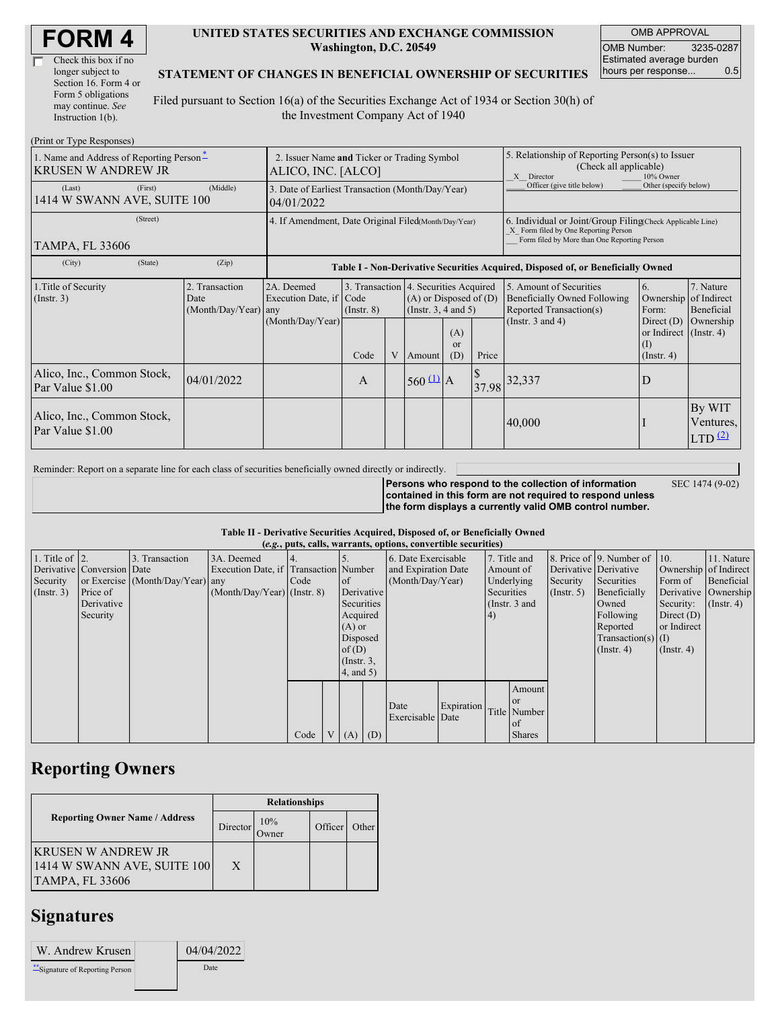|  |  | <b>FORM4</b> |  |
|--|--|--------------|--|
|--|--|--------------|--|

| Check this box if no  |
|-----------------------|
| longer subject to     |
| Section 16. Form 4 or |
| Form 5 obligations    |
| may continue. See     |
| Instruction 1(b).     |

 $(D_{\text{rint}} \text{ or } \text{T}$ yne  $D_{\ell}$ 

#### **UNITED STATES SECURITIES AND EXCHANGE COMMISSION Washington, D.C. 20549**

OMB APPROVAL OMB Number: 3235-0287 Estimated average burden hours per response... 0.5

SEC 1474 (9-02)

### **STATEMENT OF CHANGES IN BENEFICIAL OWNERSHIP OF SECURITIES**

Filed pursuant to Section 16(a) of the Securities Exchange Act of 1934 or Section 30(h) of the Investment Company Act of 1940

| 1. Name and Address of Reporting Person-<br>IKRUSEN W ANDREW JR | 2. Issuer Name and Ticker or Trading Symbol<br>ALICO, INC. [ALCO] |                                                           |                 |   |                                                                                                 | 5. Relationship of Reporting Person(s) to Issuer<br>(Check all applicable)<br>10% Owner<br>X Director |                                                                                                                                                    |                                                                                                             |                                                      |                                           |  |
|-----------------------------------------------------------------|-------------------------------------------------------------------|-----------------------------------------------------------|-----------------|---|-------------------------------------------------------------------------------------------------|-------------------------------------------------------------------------------------------------------|----------------------------------------------------------------------------------------------------------------------------------------------------|-------------------------------------------------------------------------------------------------------------|------------------------------------------------------|-------------------------------------------|--|
| (First)<br>(Last)<br>1414 W SWANN AVE, SUITE 100                | 3. Date of Earliest Transaction (Month/Day/Year)<br>04/01/2022    |                                                           |                 |   |                                                                                                 | Officer (give title below)                                                                            | Other (specify below)                                                                                                                              |                                                                                                             |                                                      |                                           |  |
| (Street)<br>TAMPA, FL 33606                                     | 4. If Amendment, Date Original Filed(Month/Day/Year)              |                                                           |                 |   |                                                                                                 |                                                                                                       | 6. Individual or Joint/Group Filing(Check Applicable Line)<br>X Form filed by One Reporting Person<br>Form filed by More than One Reporting Person |                                                                                                             |                                                      |                                           |  |
| (State)<br>(City)                                               | (Zip)                                                             |                                                           |                 |   |                                                                                                 |                                                                                                       |                                                                                                                                                    | Table I - Non-Derivative Securities Acquired, Disposed of, or Beneficially Owned                            |                                                      |                                           |  |
| 1. Title of Security<br>$($ Instr. 3 $)$                        | 2. Transaction<br>Date<br>(Month/Day/Year) any                    | 2A. Deemed<br>Execution Date, if Code<br>(Month/Day/Year) | $($ Instr. $8)$ |   | 3. Transaction 4. Securities Acquired<br>$(A)$ or Disposed of $(D)$<br>(Instr. $3, 4$ and $5$ ) |                                                                                                       |                                                                                                                                                    | 5. Amount of Securities<br>Beneficially Owned Following<br>Reported Transaction(s)<br>(Instr. $3$ and $4$ ) | 6.<br>Ownership of Indirect<br>Form:<br>Direct $(D)$ | 7. Nature<br>Beneficial<br>Ownership      |  |
|                                                                 |                                                                   |                                                           | Code            | V | Amount                                                                                          | (A)<br>$\alpha$<br>(D)                                                                                | Price                                                                                                                                              |                                                                                                             | or Indirect (Instr. 4)<br>(I)<br>$($ Instr. 4 $)$    |                                           |  |
| Alico, Inc., Common Stock,<br>Par Value \$1.00                  | 04/01/2022                                                        |                                                           | A               |   | $560 \underline{u}$ A                                                                           |                                                                                                       |                                                                                                                                                    | 37.98 32,337                                                                                                | ID                                                   |                                           |  |
| Alico, Inc., Common Stock,<br>Par Value \$1.00                  |                                                                   |                                                           |                 |   |                                                                                                 |                                                                                                       |                                                                                                                                                    | 40,000                                                                                                      |                                                      | By WIT<br>Ventures,<br>LTD <sup>(2)</sup> |  |

Reminder: Report on a separate line for each class of securities beneficially owned directly or indirectly.

**Persons who respond to the collection of information contained in this form are not required to respond unless the form displays a currently valid OMB control number.**

### **Table II - Derivative Securities Acquired, Disposed of, or Beneficially Owned**

| (e.g., puts, calls, warrants, options, convertible securities) |                            |                                  |                                       |      |  |                 |            |                     |            |              |                 |              |                                              |                       |                  |
|----------------------------------------------------------------|----------------------------|----------------------------------|---------------------------------------|------|--|-----------------|------------|---------------------|------------|--------------|-----------------|--------------|----------------------------------------------|-----------------------|------------------|
| 1. Title of $\vert$ 2.                                         |                            | 3. Transaction                   | 3A. Deemed                            |      |  |                 |            | 6. Date Exercisable |            | 7. Title and |                 |              | 8. Price of $\vert$ 9. Number of $\vert$ 10. |                       | 11. Nature       |
|                                                                | Derivative Conversion Date |                                  | Execution Date, if Transaction Number |      |  |                 |            | and Expiration Date |            | Amount of    |                 |              | Derivative Derivative                        | Ownership of Indirect |                  |
| Security                                                       |                            | or Exercise (Month/Day/Year) any |                                       | Code |  | of              |            | (Month/Day/Year)    |            | Underlying   |                 | Security     | Securities                                   | Form of               | Beneficial       |
| (Insert. 3)                                                    | Price of                   |                                  | $(Month/Day/Year)$ (Instr. 8)         |      |  |                 | Derivative |                     | Securities |              | $($ Instr. 5)   | Beneficially |                                              | Derivative Ownership  |                  |
|                                                                | Derivative                 |                                  |                                       |      |  | Securities      |            |                     |            |              | (Instr. $3$ and |              | Owned                                        | Security:             | $($ Instr. 4 $)$ |
|                                                                | Security                   |                                  |                                       |      |  | Acquired        |            |                     |            | $\vert 4)$   |                 |              | Following                                    | Direct $(D)$          |                  |
|                                                                |                            |                                  |                                       |      |  | $(A)$ or        |            |                     |            |              |                 |              | Reported                                     | or Indirect           |                  |
|                                                                |                            |                                  |                                       |      |  | Disposed        |            |                     |            |              |                 |              | $Transaction(s)$ (I)                         |                       |                  |
|                                                                |                            |                                  |                                       |      |  | of(D)           |            |                     |            |              |                 |              | $($ Instr. 4 $)$                             | $($ Instr. 4 $)$      |                  |
|                                                                |                            |                                  |                                       |      |  | $($ Instr. $3,$ |            |                     |            |              |                 |              |                                              |                       |                  |
|                                                                |                            |                                  |                                       |      |  | 4, and 5)       |            |                     |            |              |                 |              |                                              |                       |                  |
|                                                                |                            |                                  |                                       |      |  |                 |            |                     |            |              | Amount          |              |                                              |                       |                  |
|                                                                |                            |                                  |                                       |      |  |                 |            |                     |            |              | <b>or</b>       |              |                                              |                       |                  |
|                                                                |                            |                                  |                                       |      |  |                 |            | Date                | Expiration |              | Title Number    |              |                                              |                       |                  |
|                                                                |                            |                                  |                                       |      |  |                 |            | Exercisable Date    |            |              | of              |              |                                              |                       |                  |
|                                                                |                            |                                  |                                       | Code |  | $V(A)$ (D)      |            |                     |            |              | <b>Shares</b>   |              |                                              |                       |                  |

### **Reporting Owners**

|                                                                               | <b>Relationships</b> |                      |         |       |  |  |  |
|-------------------------------------------------------------------------------|----------------------|----------------------|---------|-------|--|--|--|
| <b>Reporting Owner Name / Address</b>                                         | Director             | 10%<br><b>J</b> wner | Officer | Other |  |  |  |
| KRUSEN W ANDREW JR<br>[1414 W SWANN AVE, SUITE 100]<br><b>TAMPA, FL 33606</b> | $\mathbf{X}$         |                      |         |       |  |  |  |

## **Signatures**

| W. Andrew Krusen                 | 04/04/2022 |
|----------------------------------|------------|
| ** Signature of Reporting Person | Date       |